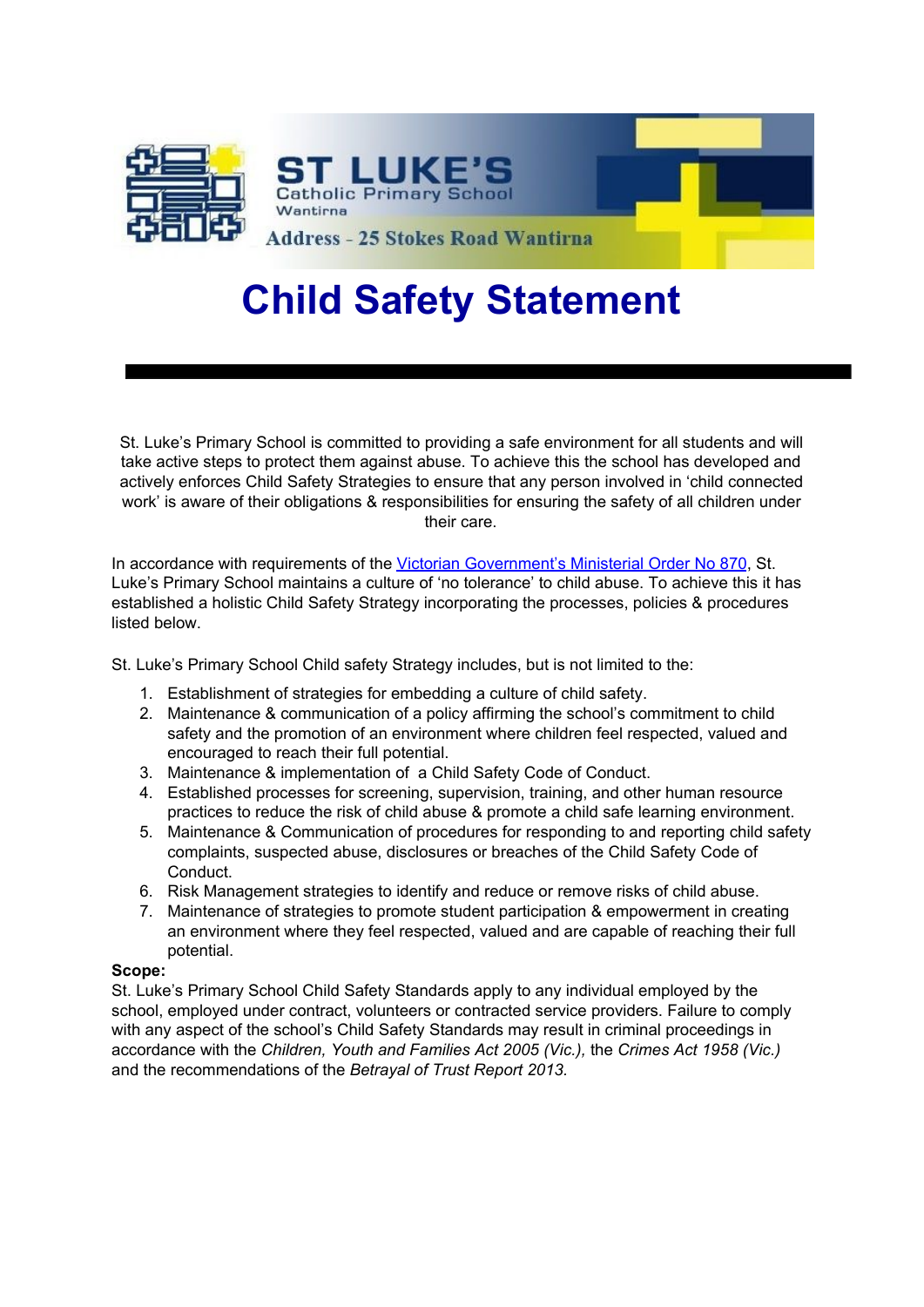

# **Child Safety Statement**

St. Luke's Primary School is committed to providing a safe environment for all students and will take active steps to protect them against abuse. To achieve this the school has developed and actively enforces Child Safety Strategies to ensure that any person involved in 'child connected work' is aware of their obligations & responsibilities for ensuring the safety of all children under their care.

In accordance with requirements of the [Victorian Government's Ministerial Order No 870](http://www.vrqa.vic.gov.au/Documents/ChSafMINOrder8702.pdf), St. Luke's Primary School maintains a culture of 'no tolerance' to child abuse. To achieve this it has established a holistic Child Safety Strategy incorporating the processes, policies & procedures listed below.

St. Luke's Primary School Child safety Strategy includes, but is not limited to the:

- 1. Establishment of strategies for embedding a culture of child safety.
- 2. Maintenance & communication of a policy affirming the school's commitment to child safety and the promotion of an environment where children feel respected, valued and encouraged to reach their full potential.
- 3. Maintenance & implementation of a Child Safety Code of Conduct.
- 4. Established processes for screening, supervision, training, and other human resource practices to reduce the risk of child abuse & promote a child safe learning environment.
- 5. Maintenance & Communication of procedures for responding to and reporting child safety complaints, suspected abuse, disclosures or breaches of the Child Safety Code of Conduct.
- 6. Risk Management strategies to identify and reduce or remove risks of child abuse.
- 7. Maintenance of strategies to promote student participation & empowerment in creating an environment where they feel respected, valued and are capable of reaching their full potential.

#### **Scope:**

St. Luke's Primary School Child Safety Standards apply to any individual employed by the school, employed under contract, volunteers or contracted service providers. Failure to comply with any aspect of the school's Child Safety Standards may result in criminal proceedings in accordance with the *Children, Youth and Families Act 2005 (Vic.),* the *Crimes Act 1958 (Vic.)* and the recommendations of the *Betrayal of Trust Report 2013.*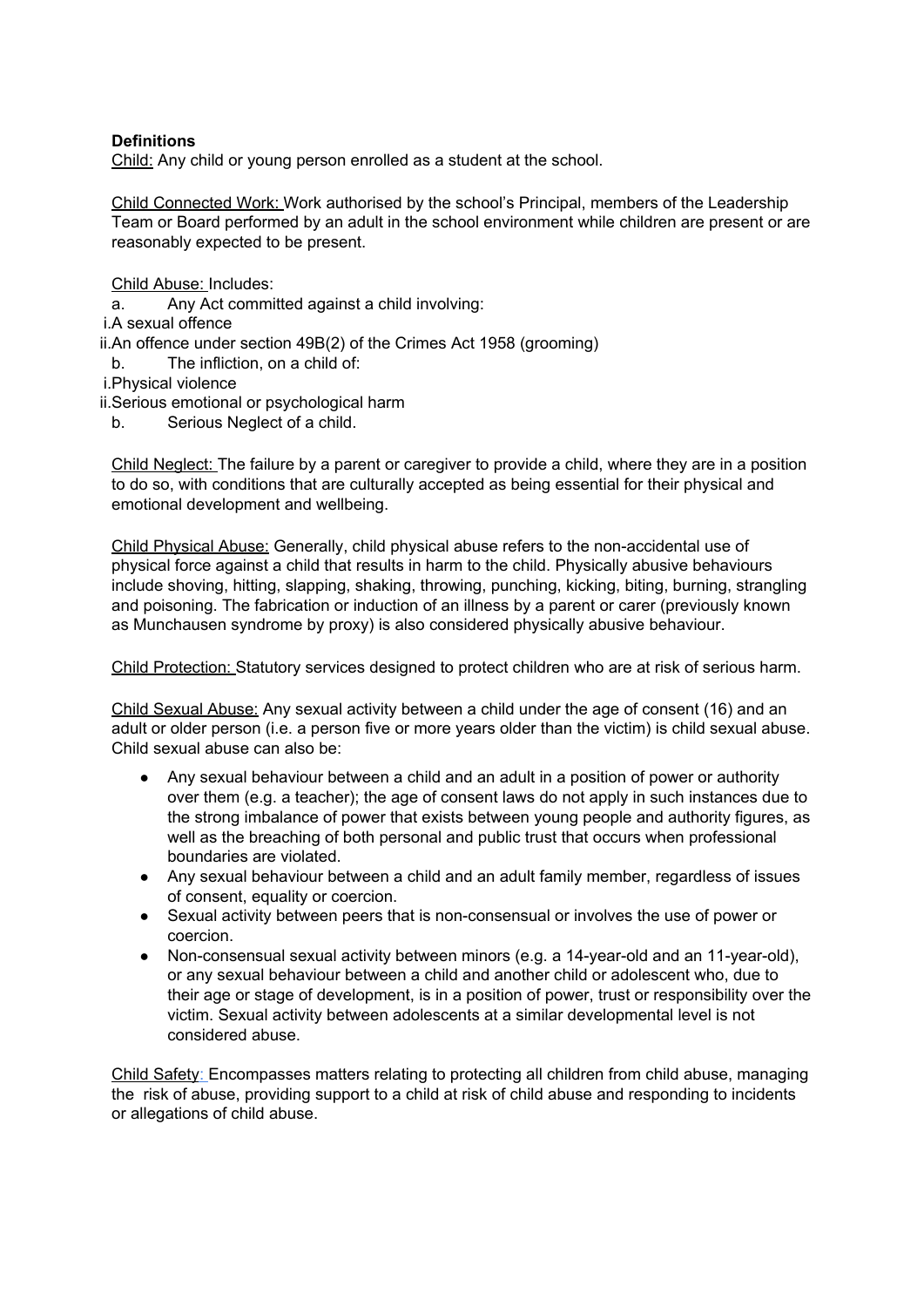## **Definitions**

Child: Any child or young person enrolled as a student at the school.

Child Connected Work: Work authorised by the school's Principal, members of the Leadership Team or Board performed by an adult in the school environment while children are present or are reasonably expected to be present.

Child Abuse: Includes:

a. Any Act committed against a child involving:

i.A sexual offence

ii.An offence under section 49B(2) of the Crimes Act 1958 (grooming)

b. The infliction, on a child of:

i.Physical violence

ii.Serious emotional or psychological harm

b. Serious Neglect of a child.

Child Neglect: The failure by a parent or caregiver to provide a child, where they are in a position to do so, with conditions that are culturally accepted as being essential for their physical and emotional development and wellbeing.

Child Physical Abuse: Generally, child physical abuse refers to the non-accidental use of physical force against a child that results in harm to the child. Physically abusive behaviours include shoving, hitting, slapping, shaking, throwing, punching, kicking, biting, burning, strangling and poisoning. The fabrication or induction of an illness by a parent or carer (previously known as Munchausen syndrome by proxy) is also considered physically abusive behaviour.

Child Protection: Statutory services designed to protect children who are at risk of serious harm.

Child Sexual Abuse: Any sexual activity between a child under the age of consent (16) and an adult or older person (i.e. a person five or more years older than the victim) is child sexual abuse. Child sexual abuse can also be:

- Any sexual behaviour between a child and an adult in a position of power or authority over them (e.g. a teacher); the age of consent laws do not apply in such instances due to the strong imbalance of power that exists between young people and authority figures, as well as the breaching of both personal and public trust that occurs when professional boundaries are violated.
- Any sexual behaviour between a child and an adult family member, regardless of issues of consent, equality or coercion.
- Sexual activity between peers that is non-consensual or involves the use of power or coercion.
- Non-consensual sexual activity between minors (e.g. a 14-year-old and an 11-year-old), or any sexual behaviour between a child and another child or adolescent who, due to their age or stage of development, is in a position of power, trust or responsibility over the victim. Sexual activity between adolescents at a similar developmental level is not considered abuse.

Child Safety: Encompasses matters relating to protecting all children from child abuse, managing the risk of abuse, providing support to a child at risk of child abuse and responding to incidents or allegations of child abuse.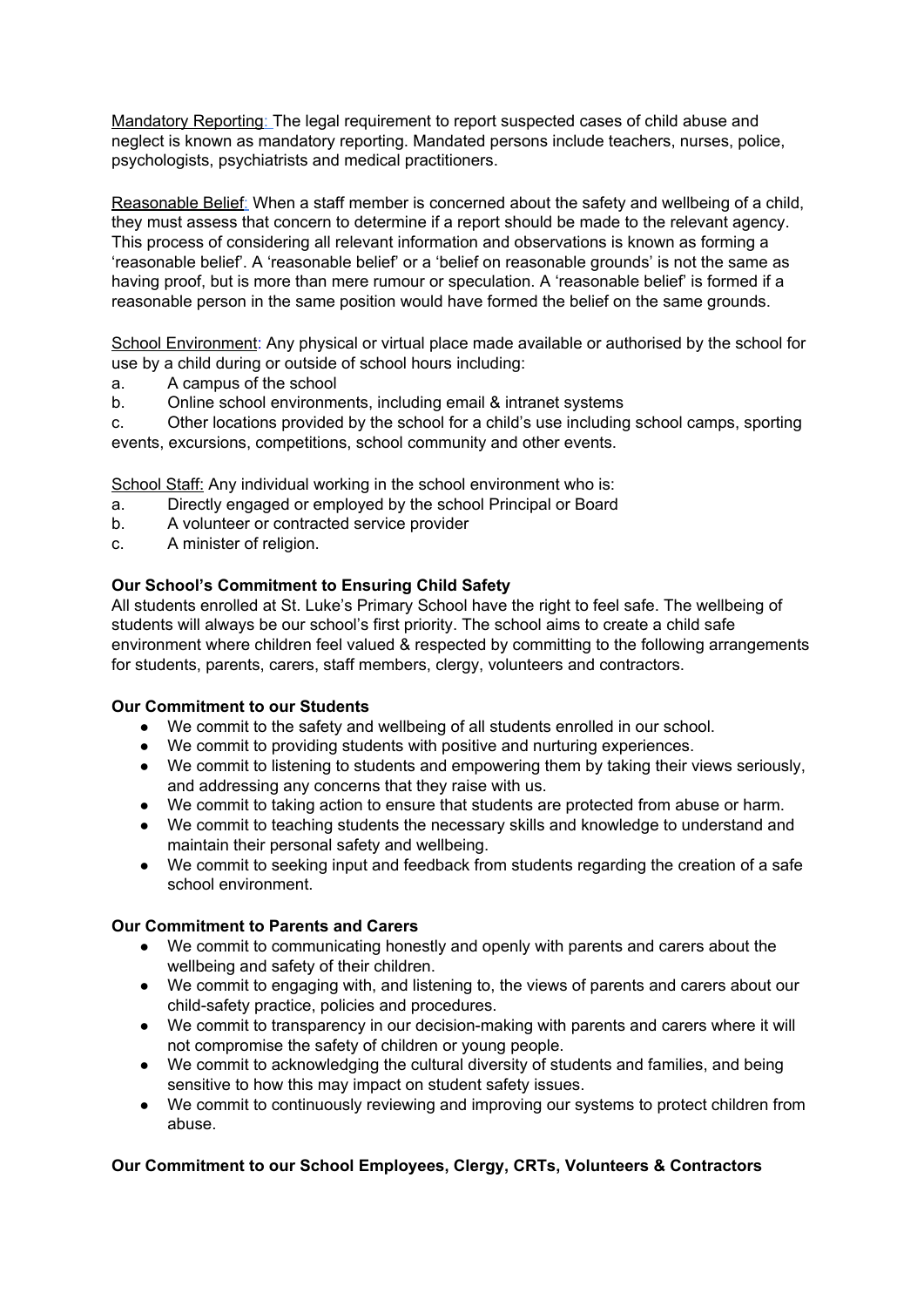Mandatory Reporting: The legal requirement to report suspected cases of child abuse and neglect is known as mandatory reporting. Mandated persons include teachers, nurses, police, psychologists, psychiatrists and medical practitioners.

Reasonable Belief: When a staff member is concerned about the safety and wellbeing of a child, they must assess that concern to determine if a report should be made to the relevant agency. This process of considering all relevant information and observations is known as forming a 'reasonable belief'. A 'reasonable belief' or a 'belief on reasonable grounds' is not the same as having proof, but is more than mere rumour or speculation. A 'reasonable belief' is formed if a reasonable person in the same position would have formed the belief on the same grounds.

School Environment: Any physical or virtual place made available or authorised by the school for use by a child during or outside of school hours including:

- a. A campus of the school
- b. Online school environments, including email & intranet systems

c. Other locations provided by the school for a child's use including school camps, sporting events, excursions, competitions, school community and other events.

School Staff: Any individual working in the school environment who is:

- a. Directly engaged or employed by the school Principal or Board
- b. A volunteer or contracted service provider
- c. A minister of religion.

# **Our School's Commitment to Ensuring Child Safety**

All students enrolled at St. Luke's Primary School have the right to feel safe. The wellbeing of students will always be our school's first priority. The school aims to create a child safe environment where children feel valued & respected by committing to the following arrangements for students, parents, carers, staff members, clergy, volunteers and contractors.

## **Our Commitment to our Students**

- We commit to the safety and wellbeing of all students enrolled in our school.
- We commit to providing students with positive and nurturing experiences.
- We commit to listening to students and empowering them by taking their views seriously, and addressing any concerns that they raise with us.
- We commit to taking action to ensure that students are protected from abuse or harm.
- We commit to teaching students the necessary skills and knowledge to understand and maintain their personal safety and wellbeing.
- We commit to seeking input and feedback from students regarding the creation of a safe school environment.

## **Our Commitment to Parents and Carers**

- We commit to communicating honestly and openly with parents and carers about the wellbeing and safety of their children.
- We commit to engaging with, and listening to, the views of parents and carers about our child-safety practice, policies and procedures.
- We commit to transparency in our decision-making with parents and carers where it will not compromise the safety of children or young people.
- We commit to acknowledging the cultural diversity of students and families, and being sensitive to how this may impact on student safety issues.
- We commit to continuously reviewing and improving our systems to protect children from abuse.

# **Our Commitment to our School Employees, Clergy, CRTs, Volunteers & Contractors**